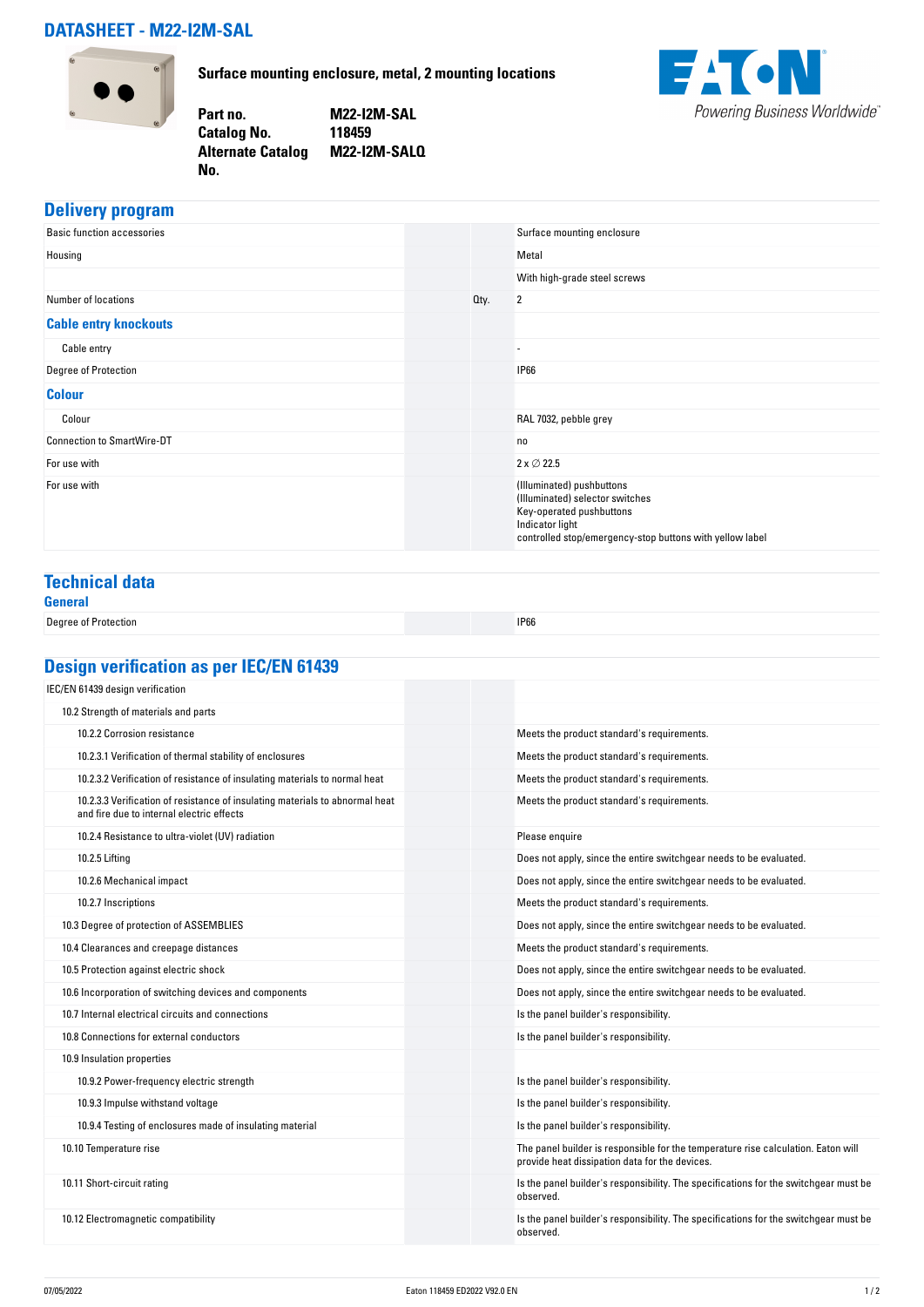## **DATASHEET - M22-I2M-SAL**



**Surface mounting enclosure, metal, 2 mounting locations**

**Part no. M22-I2M-SAL Catalog No. 118459 Alternate Catalog M22-I2M-SALQ No.** 



### **Delivery program**

| <b>Basic function accessories</b> |      | Surface mounting enclosure                                                                                                                                              |
|-----------------------------------|------|-------------------------------------------------------------------------------------------------------------------------------------------------------------------------|
| Housing                           |      | Metal                                                                                                                                                                   |
|                                   |      | With high-grade steel screws                                                                                                                                            |
| Number of locations               | Oty. | $\overline{2}$                                                                                                                                                          |
| <b>Cable entry knockouts</b>      |      |                                                                                                                                                                         |
| Cable entry                       |      | $\overline{\phantom{a}}$                                                                                                                                                |
| Degree of Protection              |      | <b>IP66</b>                                                                                                                                                             |
| <b>Colour</b>                     |      |                                                                                                                                                                         |
| Colour                            |      | RAL 7032, pebble grey                                                                                                                                                   |
| <b>Connection to SmartWire-DT</b> |      | no                                                                                                                                                                      |
| For use with                      |      | $2 \times \emptyset 22.5$                                                                                                                                               |
| For use with                      |      | (Illuminated) pushbuttons<br>(Illuminated) selector switches<br>Key-operated pushbuttons<br>Indicator light<br>controlled stop/emergency-stop buttons with yellow label |

# **Technical data**

| General              |             |
|----------------------|-------------|
| Degree of Protection | <b>IP66</b> |

# **Design verification as per IEC/EN 61439**

| IEC/EN 61439 design verification                                                                                          |                                                                                                                                     |
|---------------------------------------------------------------------------------------------------------------------------|-------------------------------------------------------------------------------------------------------------------------------------|
| 10.2 Strength of materials and parts                                                                                      |                                                                                                                                     |
| 10.2.2 Corrosion resistance                                                                                               | Meets the product standard's requirements.                                                                                          |
| 10.2.3.1 Verification of thermal stability of enclosures                                                                  | Meets the product standard's requirements.                                                                                          |
| 10.2.3.2 Verification of resistance of insulating materials to normal heat                                                | Meets the product standard's requirements.                                                                                          |
| 10.2.3.3 Verification of resistance of insulating materials to abnormal heat<br>and fire due to internal electric effects | Meets the product standard's requirements.                                                                                          |
| 10.2.4 Resistance to ultra-violet (UV) radiation                                                                          | Please enquire                                                                                                                      |
| 10.2.5 Lifting                                                                                                            | Does not apply, since the entire switchgear needs to be evaluated.                                                                  |
| 10.2.6 Mechanical impact                                                                                                  | Does not apply, since the entire switchgear needs to be evaluated.                                                                  |
| 10.2.7 Inscriptions                                                                                                       | Meets the product standard's requirements.                                                                                          |
| 10.3 Degree of protection of ASSEMBLIES                                                                                   | Does not apply, since the entire switchgear needs to be evaluated.                                                                  |
| 10.4 Clearances and creepage distances                                                                                    | Meets the product standard's requirements.                                                                                          |
| 10.5 Protection against electric shock                                                                                    | Does not apply, since the entire switchgear needs to be evaluated.                                                                  |
| 10.6 Incorporation of switching devices and components                                                                    | Does not apply, since the entire switchgear needs to be evaluated.                                                                  |
| 10.7 Internal electrical circuits and connections                                                                         | Is the panel builder's responsibility.                                                                                              |
| 10.8 Connections for external conductors                                                                                  | Is the panel builder's responsibility.                                                                                              |
| 10.9 Insulation properties                                                                                                |                                                                                                                                     |
| 10.9.2 Power-frequency electric strength                                                                                  | Is the panel builder's responsibility.                                                                                              |
| 10.9.3 Impulse withstand voltage                                                                                          | Is the panel builder's responsibility.                                                                                              |
| 10.9.4 Testing of enclosures made of insulating material                                                                  | Is the panel builder's responsibility.                                                                                              |
| 10.10 Temperature rise                                                                                                    | The panel builder is responsible for the temperature rise calculation. Eaton will<br>provide heat dissipation data for the devices. |
| 10.11 Short-circuit rating                                                                                                | Is the panel builder's responsibility. The specifications for the switchgear must be<br>observed.                                   |
| 10.12 Electromagnetic compatibility                                                                                       | Is the panel builder's responsibility. The specifications for the switchgear must be<br>observed.                                   |